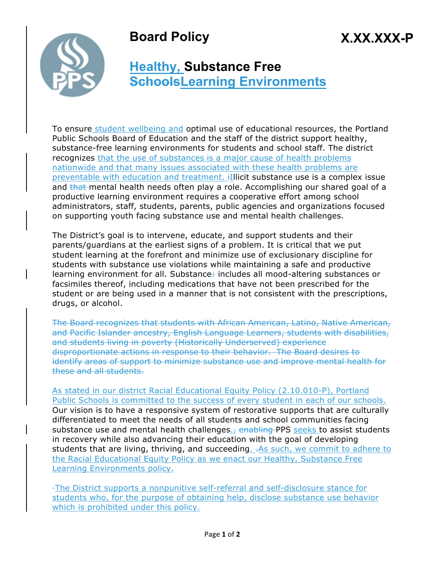## **Board Policy**





## **Healthy, Substance Free SchoolsLearning Environments**

To ensure student wellbeing and optimal use of educational resources, the Portland Public Schools Board of Education and the staff of the district support healthy, substance-free learning environments for students and school staff. The district recognizes that the use of substances is a major cause of health problems nationwide and that many issues associated with these health problems are preventable with education and treatment. iIllicit substance use is a complex issue and that mental health needs often play a role. Accomplishing our shared goal of a productive learning environment requires a cooperative effort among school administrators, staff, students, parents, public agencies and organizations focused on supporting youth facing substance use and mental health challenges.

The District's goal is to intervene, educate, and support students and their parents/guardians at the earliest signs of a problem. It is critical that we put student learning at the forefront and minimize use of exclusionary discipline for students with substance use violations while maintaining a safe and productive learning environment for all. Substance: includes all mood-altering substances or facsimiles thereof, including medications that have not been prescribed for the student or are being used in a manner that is not consistent with the prescriptions, drugs, or alcohol.

The Board recognizes that students with African American, Latino, Native American, and Pacific Islander ancestry, English Language Learners, students with disabilities, and students living in poverty (Historically Underserved) experience disproportionate actions in response to their behavior. The Board desires to identify areas of support to minimize substance use and improve mental health for these and all students.

As stated in our district Racial Educational Equity Policy (2.10.010-P), Portland Public Schools is committed to the success of every student in each of our schools. Our vision is to have a responsive system of restorative supports that are culturally differentiated to meet the needs of all students and school communities facing substance use and mental health challenges $<sub>l</sub>$  enabling PPS seeks to assist students</sub> in recovery while also advancing their education with the goal of developing students that are living, thriving, and succeeding.  $-AB$  such, we commit to adhere to the Racial Educational Equity Policy as we enact our Healthy, Substance Free Learning Environments policy.

The District supports a nonpunitive self-referral and self-disclosure stance for students who, for the purpose of obtaining help, disclose substance use behavior which is prohibited under this policy.